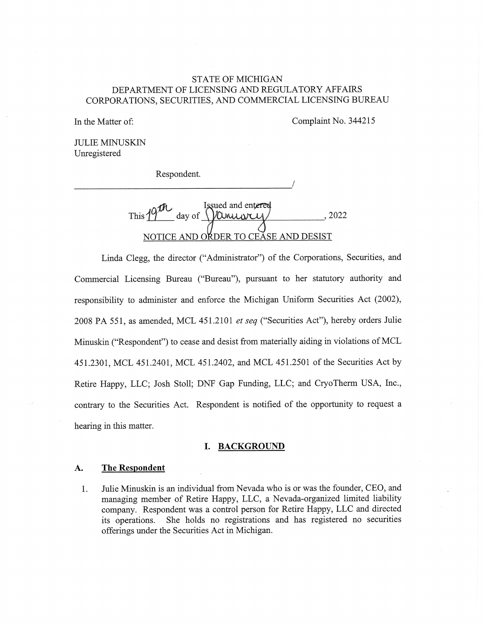# STATE OF MICHIGAN DEPARTMENT OF LICENSING AND REGULATORY AFFAIRS CORPORATIONS, SECURITIES, AND COMMERCIAL LICENSING BUREAU

In the Matter of: Complaint No. 344215

JULIE MINUSKIN Unregistered

Respondent.

Issued and entered This  $19^{11}$  day of  $\sqrt{$  Consumer (2022) NOTICE AND ORDER TO CEASE AND DESIST

Linda Clegg, the director ("Administrator") of the Corporations, Securities, and Commercial Licensing Bureau ("Bureau"), pursuant to her statutory authority and responsibility to administer and enforce the Michigan Uniform Securities Act (2002), 2008 PA 551, as amended, MCL 451.2101 et seq ("Securities Act"), hereby orders Julie Minuskin ("Respondent") to cease and desist from materially aiding in violations of MCL 451.2301, MCL 451.2401, MCL 451.2402, and MCL 451.2501 of the Securities Act by Retire Happy, LLC; Josh Stoll; DNF Gap Funding, LLC; and CryoTherm USA, Inc., contrary to the Securities Act. Respondent is notified of the opportunity to request a hearing in this matter.

#### I. BACKGROUND

#### A. The Respondent

1. Julie Minuskin is an individual from Nevada who is or was the founder, CEO, and managing member of Retire Happy, LLC, a Nevada-organized limited liability company. Respondent was a control person for Retire Happy, LLC and directed its operations. She holds no registrations and has registered no securities offerings under the Securities Act in Michigan.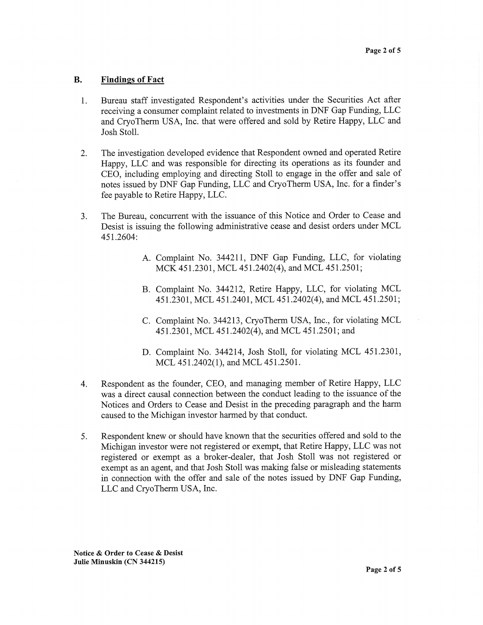### B. Findings of Fact

- 1. Bureau staff investigated Respondent's activities under the Securities Act after receiving a consumer complaint related to investments in DNF Gap Funding, LLC and CryoTherm USA, Inc. that were offered and sold by Retire Happy, LLC and Josh Stoll.
- 2. The investigation developed evidence that Respondent owned and operated Retire Happy, LLC and was responsible for directing its operations as its founder and CEO, including employing and directing Stoll to engage in the offer and sale of notes issued by DNF Gap Funding, LLC and CryoTherm USA, Inc. for a finder's fee payable to Retire Happy, LLC.
- 3. The Bureau, concurrent with the issuance of this Notice and Order to Cease and Desist is issuing the following administrative cease and desist orders under MCL 451.2604:
	- A. Complaint No. 344211, DNF Gap Funding, LLC, for violating MCK 451.2301, MCL 451.2402(4), and MCL 451.2501;
	- B. Complaint No. 344212, Retire Happy, LLC, for violating MCL 451.2301, MCL 451.2401, MCL 451.2402(4), and MCL 451.2501;
	- C. Complaint No. 344213, CryoTherm USA, Inc., for violating MCL 451.2301, MCL 451.2402(4), and MCL 451.2501; and
	- D. Complaint No. 344214, Josh Stoll, for violating MCL 451.2301, MCL 451.2402(1), and MCL 451.2501.
- 4. Respondent as the founder, CEO, and managing member of Retire Happy, LLC was a direct causal connection between the conduct leading to the issuance of the Notices and Orders to Cease and Desist in the preceding paragraph and the harm caused to the Michigan investor harmed by that conduct.
- 5. Respondent knew or should have known that the securities offered and sold to the Michigan investor were not registered or exempt, that Retire Happy, LLC was not registered or exempt as a broker-dealer, that Josh Stoll was not registered or exempt as an agent, and that Josh Stoll was making false or misleading statements in connection with the offer and sale of the notes issued by DNF Gap Funding, LLC and CryoTherm USA, Inc.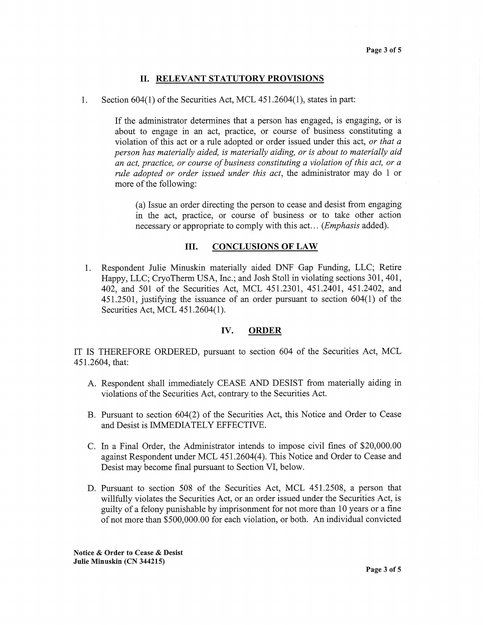# II. RELEVANT STATUTORY PROVISIONS

1. Section 604(1) of the Securities Act, MCL 451.2604(1), states in part:

If the administrator determines that a person has engaged, is engaging, or is about to engage in an act, practice, or course of business constituting a violation of this act or a rule adopted or order issued under this act, or that a person has materially aided, is materially aiding, or is about to materially aid an act, practice, or course of business constituting a violation of this act, or a rule adopted or order issued under this act, the administrator may do 1 or more of the following:

(a) Issue an order directing the person to cease and desist from engaging in the act, practice, or course of business or to take other action necessary or appropriate to comply with this act... (*Emphasis* added).

#### III. CONCLUSIONS OF LAW

1. Respondent Julie Minuskin materially aided DNF Gap Funding, LLC; Retire Happy, LLC; CryoTherm USA, Inc.; and Josh Stoll in violating sections 301, 401, 402, and 501 of the Securities Act, MCL 451.2301, 451.2401, 451.2402, and 451.2501, justifying the issuance of an order pursuant to section 604(1) of the Securities Act, MCL 451.2604(1).

# IV. ORDER

IT IS THEREFORE ORDERED, pursuant to section 604 of the Securities Act, MCL 451.2604, that:

- A. Respondent shall immediately CEASE AND DESIST from materially aiding in violations of the Securities Act, contrary to the Securities Act.
- B. Pursuant to section 604(2) of the Securities Act, this Notice and Order to Cease and Desist is IMMEDIATELY EFFECTIVE.
- C. In a Final Order, the Administrator intends to impose civil fines of \$20,000.00 against Respondent under MCL 451.2604(4). This Notice and Order to Cease and Desist may become final pursuant to Section VI, below.
- D. Pursuant to section 508 of the Securities Act, MCL 451.2508, a person that willfully violates the Securities Act, or an order issued under the Securities Act, is guilty of a felony punishable by imprisonment for not more than 10 years or a fine of not more than \$500,000.00 for each violation, or both. An individual convicted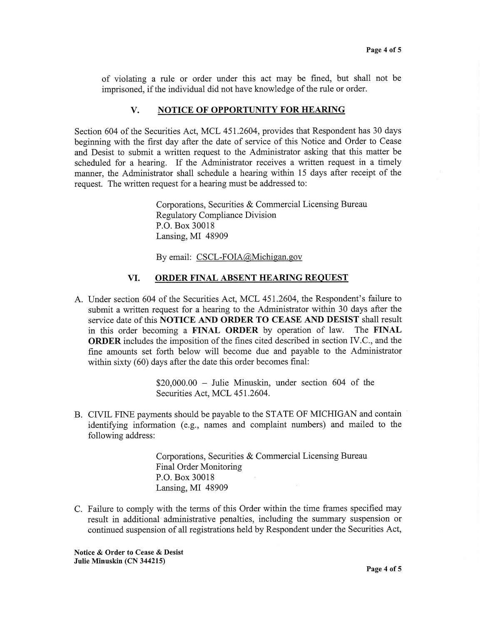of violating a rule or order under this act may be fined, but shall not be imprisoned, if the individual did not have knowledge of the rule or order.

## V. NOTICE OF OPPORTUNITY FOR HEARING

Section 604 of the Securities Act, MCL 451.2604, provides that Respondent has 30 days beginning with the first day after the date of service of this Notice and Order to Cease and Desist to submit a written request to the Administrator asking that this matter be scheduled for a hearing. If the Administrator receives a written request in a timely manner, the Administrator shall schedule a hearing within 15 days after receipt of the request. The written request for a hearing must be addressed to:

> Corporations, Securities & Commercial Licensing Bureau Regulatory Compliance Division P.O. Box 30018 Lansing, MI 48909

By email: CSCL-FOIA@Michigan.gov

### VI. ORDER FINAL ABSENT HEARING REQUEST

A. Under section 604 of the Securities Act, MCL 451.2604, the Respondent's failure to submit a written request for a hearing to the Administrator within 30 days after the service date of this NOTICE AND ORDER TO CEASE AND DESIST shall result in this order becoming a FINAL ORDER by operation of law. The FINAL ORDER includes the imposition of the fines cited described in section IV.C., and the fine amounts set forth below will become due and payable to the Administrator within sixty (60) days after the date this order becomes final:

> \$20,000.00 — Julie Minuskin, under section 604 of the Securities Act, MCL 451.2604.

B. CIVIL FINE payments should be payable to the STATE OF MICHIGAN and contain identifying information (e.g., names and complaint numbers) and mailed to the following address:

> Corporations, Securities & Commercial Licensing Bureau Final Order Monitoring P.O. Box 30018 Lansing, MI 48909

C. Failure to comply with the terms of this Order within the time frames specified may result in additional administrative penalties, including the summary suspension or continued suspension of all registrations held by Respondent under the Securities Act,

Notice & Order to Cease & Desist Julie Minuskin (CN 344215)